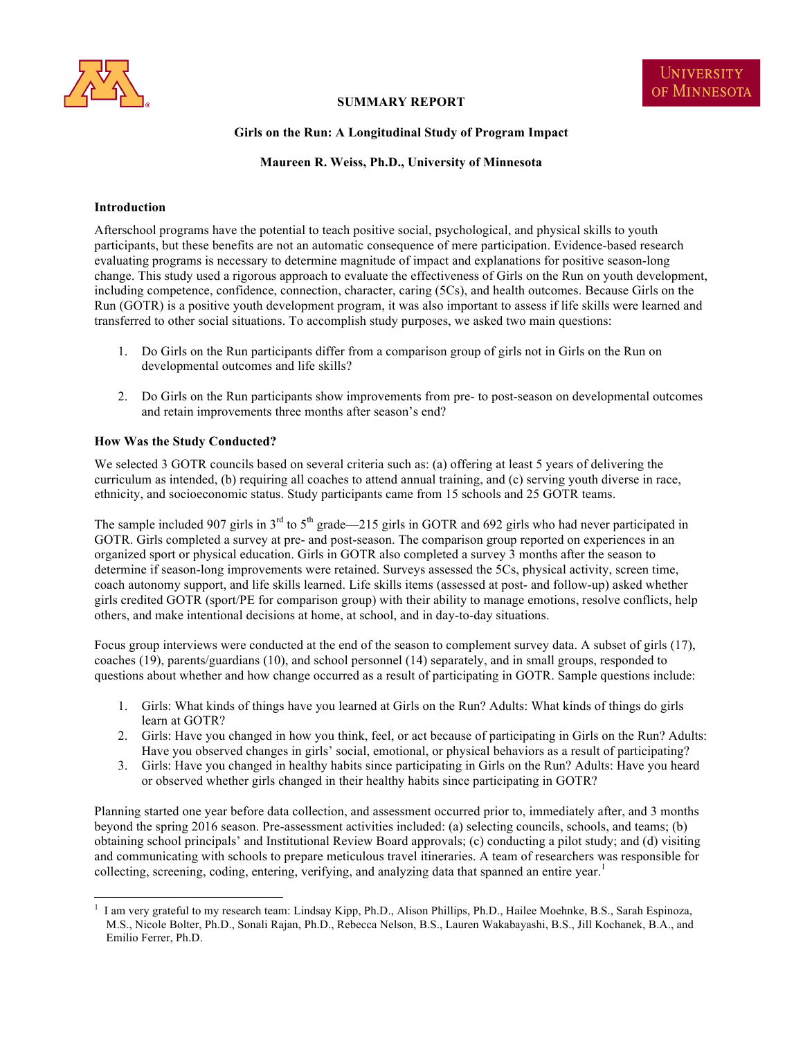

# **SUMMARY REPORT**

## **Girls on the Run: A Longitudinal Study of Program Impact**

**Maureen R. Weiss, Ph.D., University of Minnesota**

### **Introduction**

Afterschool programs have the potential to teach positive social, psychological, and physical skills to youth participants, but these benefits are not an automatic consequence of mere participation. Evidence-based research evaluating programs is necessary to determine magnitude of impact and explanations for positive season-long change. This study used a rigorous approach to evaluate the effectiveness of Girls on the Run on youth development, including competence, confidence, connection, character, caring (5Cs), and health outcomes. Because Girls on the Run (GOTR) is a positive youth development program, it was also important to assess if life skills were learned and transferred to other social situations. To accomplish study purposes, we asked two main questions:

- 1. Do Girls on the Run participants differ from a comparison group of girls not in Girls on the Run on developmental outcomes and life skills?
- 2. Do Girls on the Run participants show improvements from pre- to post-season on developmental outcomes and retain improvements three months after season's end?

## **How Was the Study Conducted?**

We selected 3 GOTR councils based on several criteria such as: (a) offering at least 5 years of delivering the curriculum as intended, (b) requiring all coaches to attend annual training, and (c) serving youth diverse in race, ethnicity, and socioeconomic status. Study participants came from 15 schools and 25 GOTR teams.

The sample included 907 girls in  $3<sup>rd</sup>$  to  $5<sup>th</sup>$  grade—215 girls in GOTR and 692 girls who had never participated in GOTR. Girls completed a survey at pre- and post-season. The comparison group reported on experiences in an organized sport or physical education. Girls in GOTR also completed a survey 3 months after the season to determine if season-long improvements were retained. Surveys assessed the 5Cs, physical activity, screen time, coach autonomy support, and life skills learned. Life skills items (assessed at post- and follow-up) asked whether girls credited GOTR (sport/PE for comparison group) with their ability to manage emotions, resolve conflicts, help others, and make intentional decisions at home, at school, and in day-to-day situations.

Focus group interviews were conducted at the end of the season to complement survey data. A subset of girls (17), coaches (19), parents/guardians (10), and school personnel (14) separately, and in small groups, responded to questions about whether and how change occurred as a result of participating in GOTR. Sample questions include:

- 1. Girls: What kinds of things have you learned at Girls on the Run? Adults: What kinds of things do girls learn at GOTR?
- 2. Girls: Have you changed in how you think, feel, or act because of participating in Girls on the Run? Adults: Have you observed changes in girls' social, emotional, or physical behaviors as a result of participating?
- 3. Girls: Have you changed in healthy habits since participating in Girls on the Run? Adults: Have you heard or observed whether girls changed in their healthy habits since participating in GOTR?

Planning started one year before data collection, and assessment occurred prior to, immediately after, and 3 months beyond the spring 2016 season. Pre-assessment activities included: (a) selecting councils, schools, and teams; (b) obtaining school principals' and Institutional Review Board approvals; (c) conducting a pilot study; and (d) visiting and communicating with schools to prepare meticulous travel itineraries. A team of researchers was responsible for collecting, screening, coding, entering, verifying, and analyzing data that spanned an entire year.<sup>1</sup>

<sup>&</sup>lt;sup>1</sup> I am very grateful to my research team: Lindsay Kipp, Ph.D., Alison Phillips, Ph.D., Hailee Moehnke, B.S., Sarah Espinoza, M.S., Nicole Bolter, Ph.D., Sonali Rajan, Ph.D., Rebecca Nelson, B.S., Lauren Wakabayashi, B.S., Jill Kochanek, B.A., and Emilio Ferrer, Ph.D.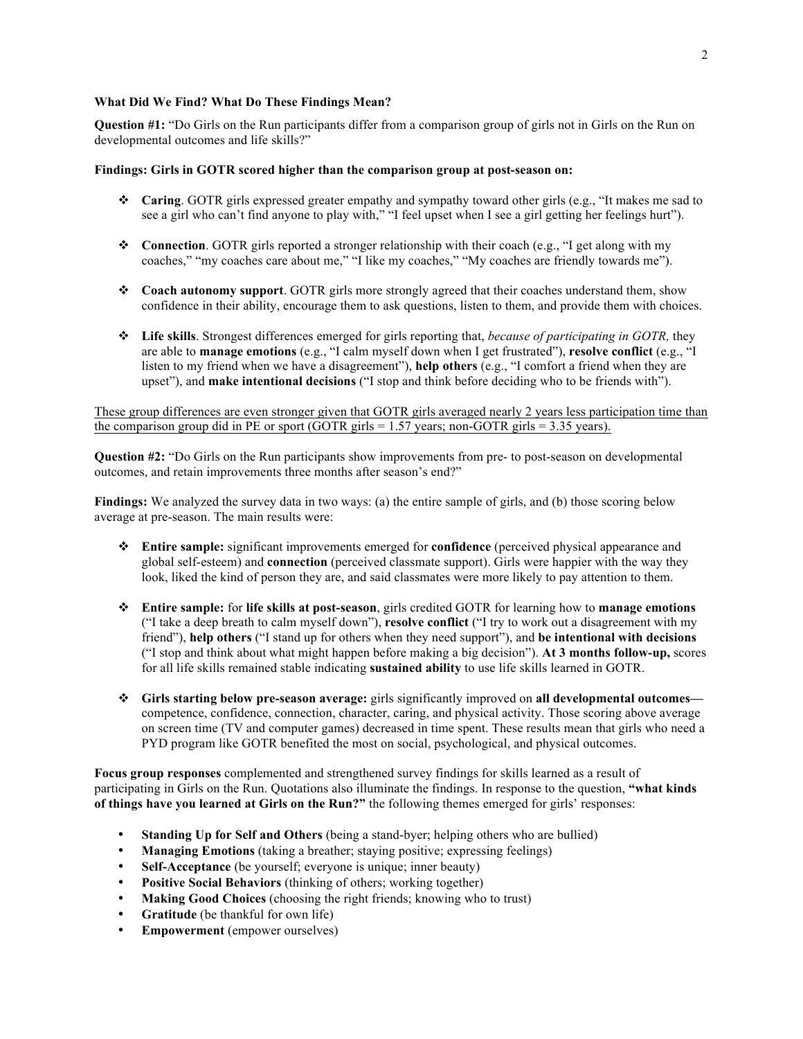## **What Did We Find? What Do These Findings Mean?**

**Question #1:** "Do Girls on the Run participants differ from a comparison group of girls not in Girls on the Run on developmental outcomes and life skills?"

#### **Findings: Girls in GOTR scored higher than the comparison group at post-season on:**

- v **Caring**. GOTR girls expressed greater empathy and sympathy toward other girls (e.g., "It makes me sad to see a girl who can't find anyone to play with," "I feel upset when I see a girl getting her feelings hurt").
- **❖** Connection. GOTR girls reported a stronger relationship with their coach (e.g., "I get along with my coaches," "my coaches care about me," "I like my coaches," "My coaches are friendly towards me").
- v **Coach autonomy support**. GOTR girls more strongly agreed that their coaches understand them, show confidence in their ability, encourage them to ask questions, listen to them, and provide them with choices.
- v **Life skills**. Strongest differences emerged for girls reporting that, *because of participating in GOTR,* they are able to **manage emotions** (e.g., "I calm myself down when I get frustrated"), **resolve conflict** (e.g., "I listen to my friend when we have a disagreement"), **help others** (e.g., "I comfort a friend when they are upset"), and **make intentional decisions** ("I stop and think before deciding who to be friends with").

These group differences are even stronger given that GOTR girls averaged nearly 2 years less participation time than the comparison group did in PE or sport (GOTR girls = 1.57 years; non-GOTR girls = 3.35 years).

**Question #2:** "Do Girls on the Run participants show improvements from pre- to post-season on developmental outcomes, and retain improvements three months after season's end?"

**Findings:** We analyzed the survey data in two ways: (a) the entire sample of girls, and (b) those scoring below average at pre-season. The main results were:

- v **Entire sample:** significant improvements emerged for **confidence** (perceived physical appearance and global self-esteem) and **connection** (perceived classmate support). Girls were happier with the way they look, liked the kind of person they are, and said classmates were more likely to pay attention to them.
- v **Entire sample:** for **life skills at post-season**, girls credited GOTR for learning how to **manage emotions** ("I take a deep breath to calm myself down"), **resolve conflict** ("I try to work out a disagreement with my friend"), **help others** ("I stand up for others when they need support"), and **be intentional with decisions** ("I stop and think about what might happen before making a big decision"). **At 3 months follow-up,** scores for all life skills remained stable indicating **sustained ability** to use life skills learned in GOTR.
- v **Girls starting below pre-season average:** girls significantly improved on **all developmental outcomes** competence, confidence, connection, character, caring, and physical activity. Those scoring above average on screen time (TV and computer games) decreased in time spent. These results mean that girls who need a PYD program like GOTR benefited the most on social, psychological, and physical outcomes.

**Focus group responses** complemented and strengthened survey findings for skills learned as a result of participating in Girls on the Run. Quotations also illuminate the findings. In response to the question, **"what kinds of things have you learned at Girls on the Run?"** the following themes emerged for girls' responses:

- **Standing Up for Self and Others** (being a stand-byer; helping others who are bullied)
- **Managing Emotions** (taking a breather; staying positive; expressing feelings)
- **Self-Acceptance** (be yourself; everyone is unique; inner beauty)
- **Positive Social Behaviors** (thinking of others; working together)
- **Making Good Choices** (choosing the right friends; knowing who to trust)
- **Gratitude** (be thankful for own life)
- **Empowerment** (empower ourselves)